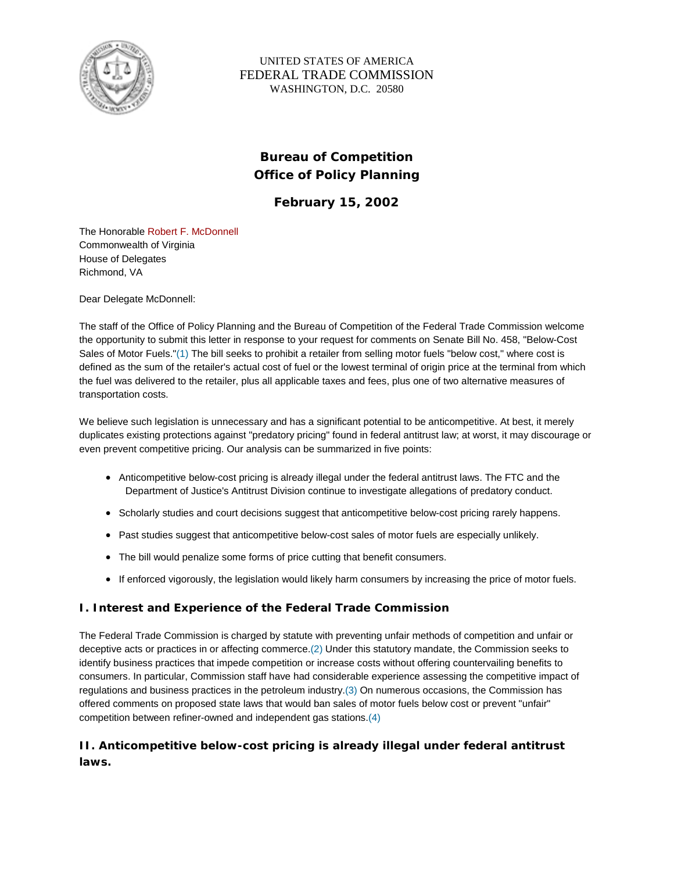

## UNITED STATES OF AMERICA FEDERAL TRADE COMMISSION WASHINGTON, D.C. 20580

# **Bureau of Competition Office of Policy Planning**

**February 15, 2002**

The Honorable Robert F. McDonnell Commonwealth of Virginia House of Delegates Richmond, VA

Dear Delegate McDonnell:

The staff of the Office of Policy Planning and the Bureau of Competition of the Federal Trade Commission welcome the opportunity to submit this letter in response to your request for comments on Senate Bill No. 458, "Below-Cost Sales of Motor Fuels."(1) The bill seeks to prohibit a retailer from selling motor fuels "below cost," where cost is defined as the sum of the retailer's actual cost of fuel or the lowest terminal of origin price at the terminal from which the fuel was delivered to the retailer, plus all applicable taxes and fees, plus one of two alternative measures of transportation costs.

We believe such legislation is unnecessary and has a significant potential to be anticompetitive. At best, it merely duplicates existing protections against "predatory pricing" found in federal antitrust law; at worst, it may discourage or even prevent competitive pricing. Our analysis can be summarized in five points:

- Anticompetitive below-cost pricing is already illegal under the federal antitrust laws. The FTC and the Department of Justice's Antitrust Division continue to investigate allegations of predatory conduct.
- Scholarly studies and court decisions suggest that anticompetitive below-cost pricing rarely happens.
- Past studies suggest that anticompetitive below-cost sales of motor fuels are especially unlikely.
- The bill would penalize some forms of price cutting that benefit consumers.
- If enforced vigorously, the legislation would likely harm consumers by increasing the price of motor fuels.

## **I. Interest and Experience of the Federal Trade Commission**

The Federal Trade Commission is charged by statute with preventing unfair methods of competition and unfair or deceptive acts or practices in or affecting commerce.(2) Under this statutory mandate, the Commission seeks to identify business practices that impede competition or increase costs without offering countervailing benefits to consumers. In particular, Commission staff have had considerable experience assessing the competitive impact of regulations and business practices in the petroleum industry.(3) On numerous occasions, the Commission has offered comments on proposed state laws that would ban sales of motor fuels below cost or prevent "unfair" competition between refiner-owned and independent gas stations.(4)

# **II. Anticompetitive below-cost pricing is already illegal under federal antitrust laws.**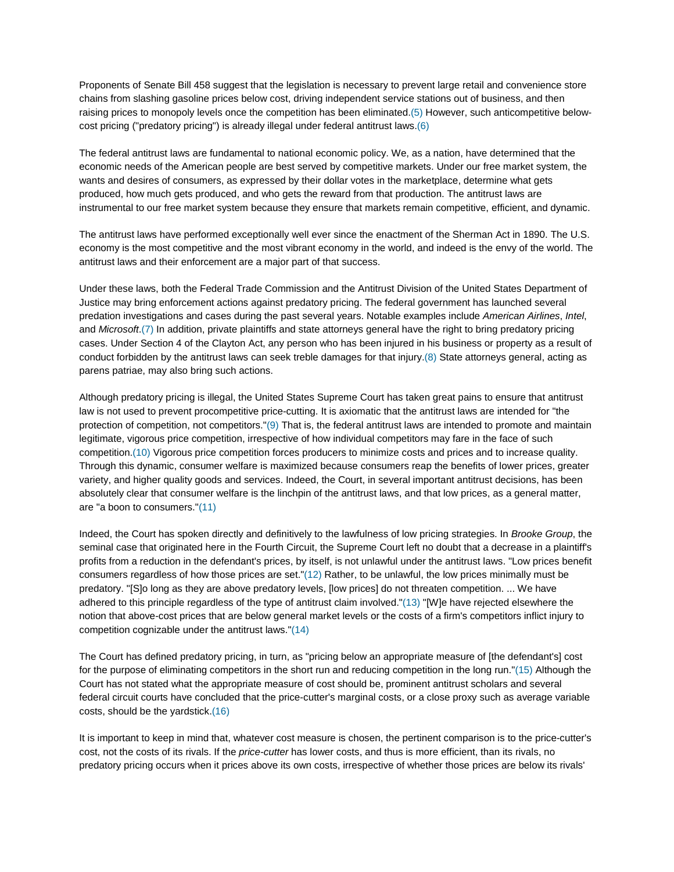Proponents of Senate Bill 458 suggest that the legislation is necessary to prevent large retail and convenience store chains from slashing gasoline prices below cost, driving independent service stations out of business, and then raising prices to monopoly levels once the competition has been eliminated.(5) However, such anticompetitive belowcost pricing ("predatory pricing") is already illegal under federal antitrust laws.(6)

The federal antitrust laws are fundamental to national economic policy. We, as a nation, have determined that the economic needs of the American people are best served by competitive markets. Under our free market system, the wants and desires of consumers, as expressed by their dollar votes in the marketplace, determine what gets produced, how much gets produced, and who gets the reward from that production. The antitrust laws are instrumental to our free market system because they ensure that markets remain competitive, efficient, and dynamic.

The antitrust laws have performed exceptionally well ever since the enactment of the Sherman Act in 1890. The U.S. economy is the most competitive and the most vibrant economy in the world, and indeed is the envy of the world. The antitrust laws and their enforcement are a major part of that success.

Under these laws, both the Federal Trade Commission and the Antitrust Division of the United States Department of Justice may bring enforcement actions against predatory pricing. The federal government has launched several predation investigations and cases during the past several years. Notable examples include *American Airlines*, *Intel*, and *Microsoft*.(7) In addition, private plaintiffs and state attorneys general have the right to bring predatory pricing cases. Under Section 4 of the Clayton Act, any person who has been injured in his business or property as a result of conduct forbidden by the antitrust laws can seek treble damages for that injury.(8) State attorneys general, acting as parens patriae, may also bring such actions.

Although predatory pricing is illegal, the United States Supreme Court has taken great pains to ensure that antitrust law is not used to prevent procompetitive price-cutting. It is axiomatic that the antitrust laws are intended for "the protection of competition, not competitors."(9) That is, the federal antitrust laws are intended to promote and maintain legitimate, vigorous price competition, irrespective of how individual competitors may fare in the face of such competition.(10) Vigorous price competition forces producers to minimize costs and prices and to increase quality. Through this dynamic, consumer welfare is maximized because consumers reap the benefits of lower prices, greater variety, and higher quality goods and services. Indeed, the Court, in several important antitrust decisions, has been absolutely clear that consumer welfare is the linchpin of the antitrust laws, and that low prices, as a general matter, are "a boon to consumers."(11)

Indeed, the Court has spoken directly and definitively to the lawfulness of low pricing strategies. In *Brooke Group*, the seminal case that originated here in the Fourth Circuit, the Supreme Court left no doubt that a decrease in a plaintiff's profits from a reduction in the defendant's prices, by itself, is not unlawful under the antitrust laws. "Low prices benefit consumers regardless of how those prices are set."(12) Rather, to be unlawful, the low prices minimally must be predatory. "[S]o long as they are above predatory levels, [low prices] do not threaten competition. ... We have adhered to this principle regardless of the type of antitrust claim involved."(13) "[W]e have rejected elsewhere the notion that above-cost prices that are below general market levels or the costs of a firm's competitors inflict injury to competition cognizable under the antitrust laws."(14)

The Court has defined predatory pricing, in turn, as "pricing below an appropriate measure of [the defendant's] cost for the purpose of eliminating competitors in the short run and reducing competition in the long run."(15) Although the Court has not stated what the appropriate measure of cost should be, prominent antitrust scholars and several federal circuit courts have concluded that the price-cutter's marginal costs, or a close proxy such as average variable costs, should be the yardstick.(16)

It is important to keep in mind that, whatever cost measure is chosen, the pertinent comparison is to the price-cutter's cost, not the costs of its rivals. If the *price-cutter* has lower costs, and thus is more efficient, than its rivals, no predatory pricing occurs when it prices above its own costs, irrespective of whether those prices are below its rivals'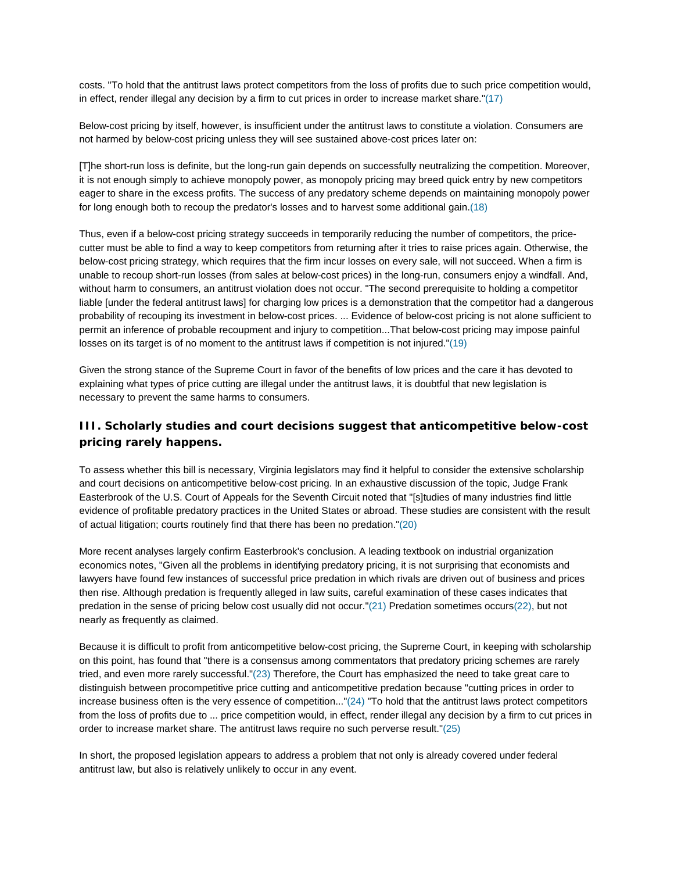costs. "To hold that the antitrust laws protect competitors from the loss of profits due to such price competition would, in effect, render illegal any decision by a firm to cut prices in order to increase market share."(17)

Below-cost pricing by itself, however, is insufficient under the antitrust laws to constitute a violation. Consumers are not harmed by below-cost pricing unless they will see sustained above-cost prices later on:

[T]he short-run loss is definite, but the long-run gain depends on successfully neutralizing the competition. Moreover, it is not enough simply to achieve monopoly power, as monopoly pricing may breed quick entry by new competitors eager to share in the excess profits. The success of any predatory scheme depends on maintaining monopoly power for long enough both to recoup the predator's losses and to harvest some additional gain.(18)

Thus, even if a below-cost pricing strategy succeeds in temporarily reducing the number of competitors, the pricecutter must be able to find a way to keep competitors from returning after it tries to raise prices again. Otherwise, the below-cost pricing strategy, which requires that the firm incur losses on every sale, will not succeed. When a firm is unable to recoup short-run losses (from sales at below-cost prices) in the long-run, consumers enjoy a windfall. And, without harm to consumers, an antitrust violation does not occur. "The second prerequisite to holding a competitor liable [under the federal antitrust laws] for charging low prices is a demonstration that the competitor had a dangerous probability of recouping its investment in below-cost prices. ... Evidence of below-cost pricing is not alone sufficient to permit an inference of probable recoupment and injury to competition...That below-cost pricing may impose painful losses on its target is of no moment to the antitrust laws if competition is not injured."(19)

Given the strong stance of the Supreme Court in favor of the benefits of low prices and the care it has devoted to explaining what types of price cutting are illegal under the antitrust laws, it is doubtful that new legislation is necessary to prevent the same harms to consumers.

## **III. Scholarly studies and court decisions suggest that anticompetitive below-cost pricing rarely happens.**

To assess whether this bill is necessary, Virginia legislators may find it helpful to consider the extensive scholarship and court decisions on anticompetitive below-cost pricing. In an exhaustive discussion of the topic, Judge Frank Easterbrook of the U.S. Court of Appeals for the Seventh Circuit noted that "[s]tudies of many industries find little evidence of profitable predatory practices in the United States or abroad. These studies are consistent with the result of actual litigation; courts routinely find that there has been no predation."(20)

More recent analyses largely confirm Easterbrook's conclusion. A leading textbook on industrial organization economics notes, "Given all the problems in identifying predatory pricing, it is not surprising that economists and lawyers have found few instances of successful price predation in which rivals are driven out of business and prices then rise. Although predation is frequently alleged in law suits, careful examination of these cases indicates that predation in the sense of pricing below cost usually did not occur."(21) Predation sometimes occurs(22), but not nearly as frequently as claimed.

Because it is difficult to profit from anticompetitive below-cost pricing, the Supreme Court, in keeping with scholarship on this point, has found that "there is a consensus among commentators that predatory pricing schemes are rarely tried, and even more rarely successful."(23) Therefore, the Court has emphasized the need to take great care to distinguish between procompetitive price cutting and anticompetitive predation because "cutting prices in order to increase business often is the very essence of competition..."(24) "To hold that the antitrust laws protect competitors from the loss of profits due to ... price competition would, in effect, render illegal any decision by a firm to cut prices in order to increase market share. The antitrust laws require no such perverse result."(25)

In short, the proposed legislation appears to address a problem that not only is already covered under federal antitrust law, but also is relatively unlikely to occur in any event.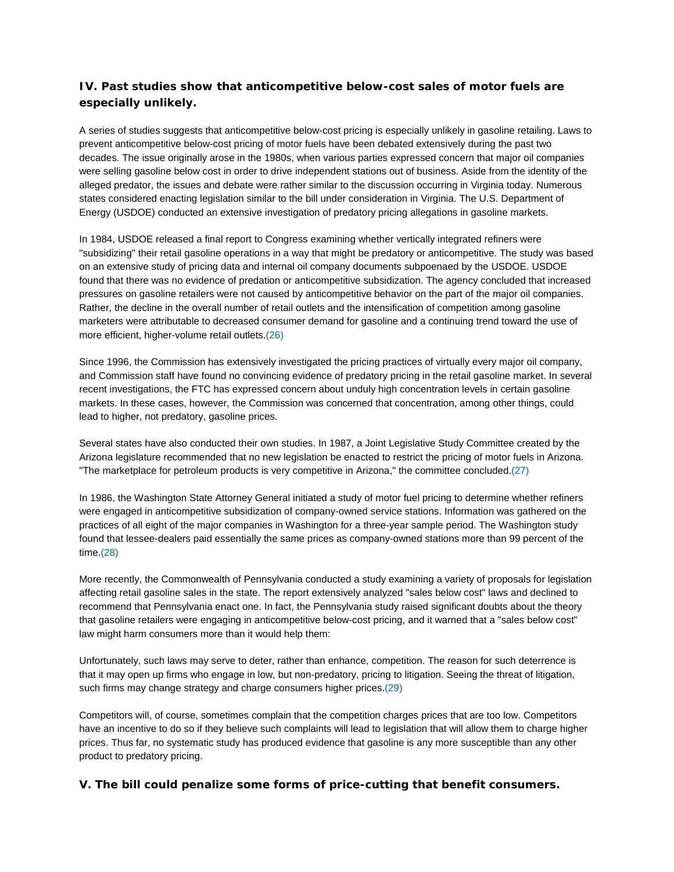## **IV. Past studies show that anticompetitive below-cost sales of motor fuels are especially unlikely.**

A series of studies suggests that anticompetitive below-cost pricing is especially unlikely in gasoline retailing. Laws to prevent anticompetitive below-cost pricing of motor fuels have been debated extensively during the past two decades. The issue originally arose in the 1980s, when various parties expressed concern that major oil companies were selling gasoline below cost in order to drive independent stations out of business. Aside from the identity of the alleged predator, the issues and debate were rather similar to the discussion occurring in Virginia today. Numerous states considered enacting legislation similar to the bill under consideration in Virginia. The U.S. Department of Energy (USDOE) conducted an extensive investigation of predatory pricing allegations in gasoline markets.

In 1984, USDOE released a final report to Congress examining whether vertically integrated refiners were "subsidizing" their retail gasoline operations in a way that might be predatory or anticompetitive. The study was based on an extensive study of pricing data and internal oil company documents subpoenaed by the USDOE. USDOE found that there was no evidence of predation or anticompetitive subsidization. The agency concluded that increased pressures on gasoline retailers were not caused by anticompetitive behavior on the part of the major oil companies. Rather, the decline in the overall number of retail outlets and the intensification of competition among gasoline marketers were attributable to decreased consumer demand for gasoline and a continuing trend toward the use of more efficient, higher-volume retail outlets.(26)

Since 1996, the Commission has extensively investigated the pricing practices of virtually every major oil company, and Commission staff have found no convincing evidence of predatory pricing in the retail gasoline market. In several recent investigations, the FTC has expressed concern about unduly high concentration levels in certain gasoline markets. In these cases, however, the Commission was concerned that concentration, among other things, could lead to higher, not predatory, gasoline prices.

Several states have also conducted their own studies. In 1987, a Joint Legislative Study Committee created by the Arizona legislature recommended that no new legislation be enacted to restrict the pricing of motor fuels in Arizona. "The marketplace for petroleum products is very competitive in Arizona," the committee concluded.(27)

In 1986, the Washington State Attorney General initiated a study of motor fuel pricing to determine whether refiners were engaged in anticompetitive subsidization of company-owned service stations. Information was gathered on the practices of all eight of the major companies in Washington for a three-year sample period. The Washington study found that lessee-dealers paid essentially the same prices as company-owned stations more than 99 percent of the time.(28)

More recently, the Commonwealth of Pennsylvania conducted a study examining a variety of proposals for legislation affecting retail gasoline sales in the state. The report extensively analyzed "sales below cost" laws and declined to recommend that Pennsylvania enact one. In fact, the Pennsylvania study raised significant doubts about the theory that gasoline retailers were engaging in anticompetitive below-cost pricing, and it warned that a "sales below cost" law might harm consumers more than it would help them:

Unfortunately, such laws may serve to deter, rather than enhance, competition. The reason for such deterrence is that it may open up firms who engage in low, but non-predatory, pricing to litigation. Seeing the threat of litigation, such firms may change strategy and charge consumers higher prices.(29)

Competitors will, of course, sometimes complain that the competition charges prices that are too low. Competitors have an incentive to do so if they believe such complaints will lead to legislation that will allow them to charge higher prices. Thus far, no systematic study has produced evidence that gasoline is any more susceptible than any other product to predatory pricing.

### **V. The bill could penalize some forms of price-cutting that benefit consumers.**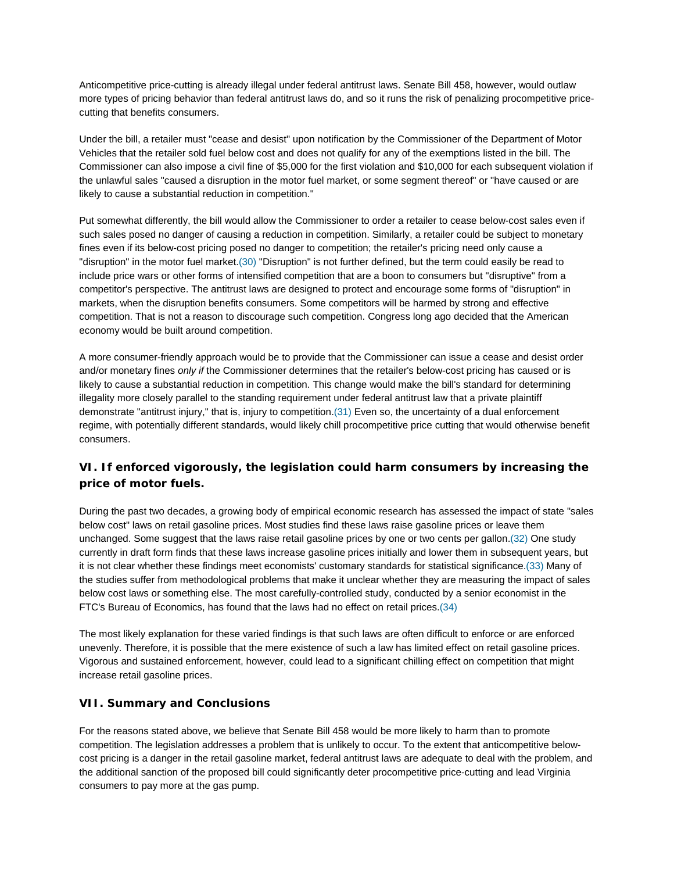Anticompetitive price-cutting is already illegal under federal antitrust laws. Senate Bill 458, however, would outlaw more types of pricing behavior than federal antitrust laws do, and so it runs the risk of penalizing procompetitive pricecutting that benefits consumers.

Under the bill, a retailer must "cease and desist" upon notification by the Commissioner of the Department of Motor Vehicles that the retailer sold fuel below cost and does not qualify for any of the exemptions listed in the bill. The Commissioner can also impose a civil fine of \$5,000 for the first violation and \$10,000 for each subsequent violation if the unlawful sales "caused a disruption in the motor fuel market, or some segment thereof" or "have caused or are likely to cause a substantial reduction in competition."

Put somewhat differently, the bill would allow the Commissioner to order a retailer to cease below-cost sales even if such sales posed no danger of causing a reduction in competition. Similarly, a retailer could be subject to monetary fines even if its below-cost pricing posed no danger to competition; the retailer's pricing need only cause a "disruption" in the motor fuel market.(30) "Disruption" is not further defined, but the term could easily be read to include price wars or other forms of intensified competition that are a boon to consumers but "disruptive" from a competitor's perspective. The antitrust laws are designed to protect and encourage some forms of "disruption" in markets, when the disruption benefits consumers. Some competitors will be harmed by strong and effective competition. That is not a reason to discourage such competition. Congress long ago decided that the American economy would be built around competition.

A more consumer-friendly approach would be to provide that the Commissioner can issue a cease and desist order and/or monetary fines *only if* the Commissioner determines that the retailer's below-cost pricing has caused or is likely to cause a substantial reduction in competition. This change would make the bill's standard for determining illegality more closely parallel to the standing requirement under federal antitrust law that a private plaintiff demonstrate "antitrust injury," that is, injury to competition.(31) Even so, the uncertainty of a dual enforcement regime, with potentially different standards, would likely chill procompetitive price cutting that would otherwise benefit consumers.

## **VI. If enforced vigorously, the legislation could harm consumers by increasing the price of motor fuels.**

During the past two decades, a growing body of empirical economic research has assessed the impact of state "sales below cost" laws on retail gasoline prices. Most studies find these laws raise gasoline prices or leave them unchanged. Some suggest that the laws raise retail gasoline prices by one or two cents per gallon.(32) One study currently in draft form finds that these laws increase gasoline prices initially and lower them in subsequent years, but it is not clear whether these findings meet economists' customary standards for statistical significance.(33) Many of the studies suffer from methodological problems that make it unclear whether they are measuring the impact of sales below cost laws or something else. The most carefully-controlled study, conducted by a senior economist in the FTC's Bureau of Economics, has found that the laws had no effect on retail prices.(34)

The most likely explanation for these varied findings is that such laws are often difficult to enforce or are enforced unevenly. Therefore, it is possible that the mere existence of such a law has limited effect on retail gasoline prices. Vigorous and sustained enforcement, however, could lead to a significant chilling effect on competition that might increase retail gasoline prices.

### **VII. Summary and Conclusions**

For the reasons stated above, we believe that Senate Bill 458 would be more likely to harm than to promote competition. The legislation addresses a problem that is unlikely to occur. To the extent that anticompetitive belowcost pricing is a danger in the retail gasoline market, federal antitrust laws are adequate to deal with the problem, and the additional sanction of the proposed bill could significantly deter procompetitive price-cutting and lead Virginia consumers to pay more at the gas pump.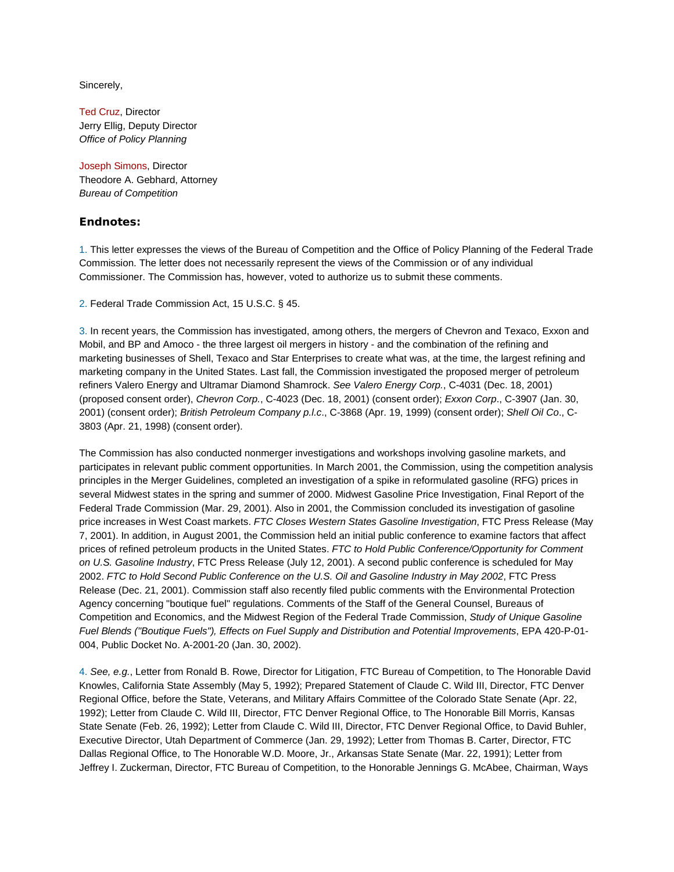Sincerely,

Ted Cruz, Director Jerry Ellig, Deputy Director *Office of Policy Planning*

Joseph Simons, Director Theodore A. Gebhard, Attorney *Bureau of Competition*

#### **Endnotes:**

1. This letter expresses the views of the Bureau of Competition and the Office of Policy Planning of the Federal Trade Commission. The letter does not necessarily represent the views of the Commission or of any individual Commissioner. The Commission has, however, voted to authorize us to submit these comments.

2. Federal Trade Commission Act, 15 U.S.C. § 45.

3. In recent years, the Commission has investigated, among others, the mergers of Chevron and Texaco, Exxon and Mobil, and BP and Amoco - the three largest oil mergers in history - and the combination of the refining and marketing businesses of Shell, Texaco and Star Enterprises to create what was, at the time, the largest refining and marketing company in the United States. Last fall, the Commission investigated the proposed merger of petroleum refiners Valero Energy and Ultramar Diamond Shamrock. *See Valero Energy Corp.*, C-4031 (Dec. 18, 2001) (proposed consent order), *Chevron Corp.*, C-4023 (Dec. 18, 2001) (consent order); *Exxon Corp*., C-3907 (Jan. 30, 2001) (consent order); *British Petroleum Company p.l.c*., C-3868 (Apr. 19, 1999) (consent order); *Shell Oil Co*., C-3803 (Apr. 21, 1998) (consent order).

The Commission has also conducted nonmerger investigations and workshops involving gasoline markets, and participates in relevant public comment opportunities. In March 2001, the Commission, using the competition analysis principles in the Merger Guidelines, completed an investigation of a spike in reformulated gasoline (RFG) prices in several Midwest states in the spring and summer of 2000. Midwest Gasoline Price Investigation, Final Report of the Federal Trade Commission (Mar. 29, 2001). Also in 2001, the Commission concluded its investigation of gasoline price increases in West Coast markets. *FTC Closes Western States Gasoline Investigation*, FTC Press Release (May 7, 2001). In addition, in August 2001, the Commission held an initial public conference to examine factors that affect prices of refined petroleum products in the United States. *FTC to Hold Public Conference/Opportunity for Comment on U.S. Gasoline Industry*, FTC Press Release (July 12, 2001). A second public conference is scheduled for May 2002. *FTC to Hold Second Public Conference on the U.S. Oil and Gasoline Industry in May 2002*, FTC Press Release (Dec. 21, 2001). Commission staff also recently filed public comments with the Environmental Protection Agency concerning "boutique fuel" regulations. Comments of the Staff of the General Counsel, Bureaus of Competition and Economics, and the Midwest Region of the Federal Trade Commission, *Study of Unique Gasoline Fuel Blends ("Boutique Fuels"), Effects on Fuel Supply and Distribution and Potential Improvements*, EPA 420-P-01- 004, Public Docket No. A-2001-20 (Jan. 30, 2002).

4. *See, e.g.*, Letter from Ronald B. Rowe, Director for Litigation, FTC Bureau of Competition, to The Honorable David Knowles, California State Assembly (May 5, 1992); Prepared Statement of Claude C. Wild III, Director, FTC Denver Regional Office, before the State, Veterans, and Military Affairs Committee of the Colorado State Senate (Apr. 22, 1992); Letter from Claude C. Wild III, Director, FTC Denver Regional Office, to The Honorable Bill Morris, Kansas State Senate (Feb. 26, 1992); Letter from Claude C. Wild III, Director, FTC Denver Regional Office, to David Buhler, Executive Director, Utah Department of Commerce (Jan. 29, 1992); Letter from Thomas B. Carter, Director, FTC Dallas Regional Office, to The Honorable W.D. Moore, Jr., Arkansas State Senate (Mar. 22, 1991); Letter from Jeffrey I. Zuckerman, Director, FTC Bureau of Competition, to the Honorable Jennings G. McAbee, Chairman, Ways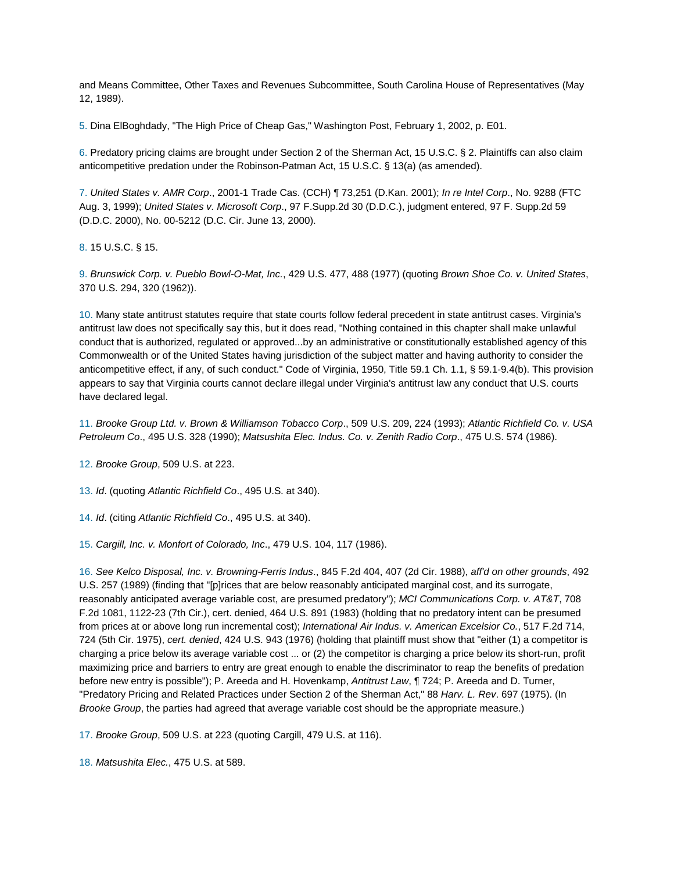and Means Committee, Other Taxes and Revenues Subcommittee, South Carolina House of Representatives (May 12, 1989).

5. Dina ElBoghdady, "The High Price of Cheap Gas," Washington Post, February 1, 2002, p. E01.

6. Predatory pricing claims are brought under Section 2 of the Sherman Act, 15 U.S.C. § 2. Plaintiffs can also claim anticompetitive predation under the Robinson-Patman Act, 15 U.S.C. § 13(a) (as amended).

7. *United States v. AMR Corp*., 2001-1 Trade Cas. (CCH) ¶ 73,251 (D.Kan. 2001); *In re Intel Corp*., No. 9288 (FTC Aug. 3, 1999); *United States v. Microsoft Corp*., 97 F.Supp.2d 30 (D.D.C.), judgment entered, 97 F. Supp.2d 59 (D.D.C. 2000), No. 00-5212 (D.C. Cir. June 13, 2000).

8. 15 U.S.C. § 15.

9. *Brunswick Corp. v. Pueblo Bowl-O-Mat, Inc.*, 429 U.S. 477, 488 (1977) (quoting *Brown Shoe Co. v. United States*, 370 U.S. 294, 320 (1962)).

10. Many state antitrust statutes require that state courts follow federal precedent in state antitrust cases. Virginia's antitrust law does not specifically say this, but it does read, "Nothing contained in this chapter shall make unlawful conduct that is authorized, regulated or approved...by an administrative or constitutionally established agency of this Commonwealth or of the United States having jurisdiction of the subject matter and having authority to consider the anticompetitive effect, if any, of such conduct." Code of Virginia, 1950, Title 59.1 Ch. 1.1, § 59.1-9.4(b). This provision appears to say that Virginia courts cannot declare illegal under Virginia's antitrust law any conduct that U.S. courts have declared legal.

11. *Brooke Group Ltd. v. Brown & Williamson Tobacco Corp*., 509 U.S. 209, 224 (1993); *Atlantic Richfield Co. v. USA Petroleum Co*., 495 U.S. 328 (1990); *Matsushita Elec. Indus. Co. v. Zenith Radio Corp*., 475 U.S. 574 (1986).

12. *Brooke Group*, 509 U.S. at 223.

13. *Id*. (quoting *Atlantic Richfield Co*., 495 U.S. at 340).

14. *Id*. (citing *Atlantic Richfield Co*., 495 U.S. at 340).

15. *Cargill, Inc. v. Monfort of Colorado, Inc*., 479 U.S. 104, 117 (1986).

16. *See Kelco Disposal, Inc. v. Browning-Ferris Indus*., 845 F.2d 404, 407 (2d Cir. 1988), *aff'd on other grounds*, 492 U.S. 257 (1989) (finding that "[p]rices that are below reasonably anticipated marginal cost, and its surrogate, reasonably anticipated average variable cost, are presumed predatory"); *MCI Communications Corp. v. AT&T*, 708 F.2d 1081, 1122-23 (7th Cir.), cert. denied, 464 U.S. 891 (1983) (holding that no predatory intent can be presumed from prices at or above long run incremental cost); *International Air Indus. v. American Excelsior Co.*, 517 F.2d 714, 724 (5th Cir. 1975), *cert. denied*, 424 U.S. 943 (1976) (holding that plaintiff must show that "either (1) a competitor is charging a price below its average variable cost ... or (2) the competitor is charging a price below its short-run, profit maximizing price and barriers to entry are great enough to enable the discriminator to reap the benefits of predation before new entry is possible"); P. Areeda and H. Hovenkamp, *Antitrust Law*, ¶ 724; P. Areeda and D. Turner, "Predatory Pricing and Related Practices under Section 2 of the Sherman Act," 88 *Harv. L. Rev*. 697 (1975). (In *Brooke Group*, the parties had agreed that average variable cost should be the appropriate measure.)

17. *Brooke Group*, 509 U.S. at 223 (quoting Cargill, 479 U.S. at 116).

18. *Matsushita Elec.*, 475 U.S. at 589.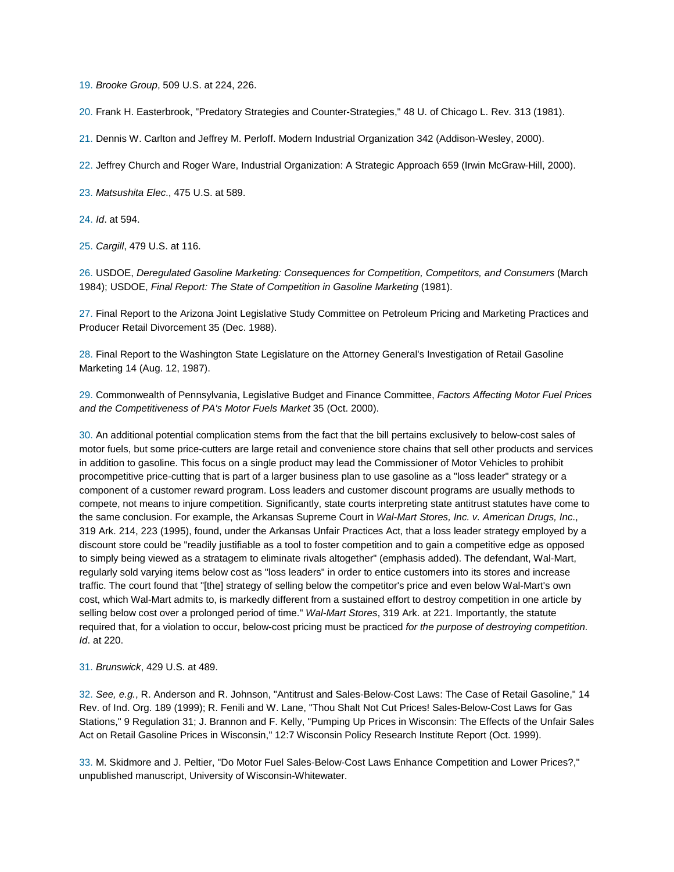19. *Brooke Group*, 509 U.S. at 224, 226.

20. Frank H. Easterbrook, "Predatory Strategies and Counter-Strategies," 48 U. of Chicago L. Rev. 313 (1981).

21. Dennis W. Carlton and Jeffrey M. Perloff. Modern Industrial Organization 342 (Addison-Wesley, 2000).

22. Jeffrey Church and Roger Ware, Industrial Organization: A Strategic Approach 659 (Irwin McGraw-Hill, 2000).

23. *Matsushita Elec*., 475 U.S. at 589.

24. *Id*. at 594.

25. *Cargill*, 479 U.S. at 116.

26. USDOE, *Deregulated Gasoline Marketing: Consequences for Competition, Competitors, and Consumers* (March 1984); USDOE, *Final Report: The State of Competition in Gasoline Marketing* (1981).

27. Final Report to the Arizona Joint Legislative Study Committee on Petroleum Pricing and Marketing Practices and Producer Retail Divorcement 35 (Dec. 1988).

28. Final Report to the Washington State Legislature on the Attorney General's Investigation of Retail Gasoline Marketing 14 (Aug. 12, 1987).

29. Commonwealth of Pennsylvania, Legislative Budget and Finance Committee, *Factors Affecting Motor Fuel Prices and the Competitiveness of PA's Motor Fuels Market* 35 (Oct. 2000).

30. An additional potential complication stems from the fact that the bill pertains exclusively to below-cost sales of motor fuels, but some price-cutters are large retail and convenience store chains that sell other products and services in addition to gasoline. This focus on a single product may lead the Commissioner of Motor Vehicles to prohibit procompetitive price-cutting that is part of a larger business plan to use gasoline as a "loss leader" strategy or a component of a customer reward program. Loss leaders and customer discount programs are usually methods to compete, not means to injure competition. Significantly, state courts interpreting state antitrust statutes have come to the same conclusion. For example, the Arkansas Supreme Court in *Wal-Mart Stores, Inc. v. American Drugs, Inc*., 319 Ark. 214, 223 (1995), found, under the Arkansas Unfair Practices Act, that a loss leader strategy employed by a discount store could be "readily justifiable as a tool to foster competition and to gain a competitive edge as opposed to simply being viewed as a stratagem to eliminate rivals altogether" (emphasis added). The defendant, Wal-Mart, regularly sold varying items below cost as "loss leaders" in order to entice customers into its stores and increase traffic. The court found that "[the] strategy of selling below the competitor's price and even below Wal-Mart's own cost, which Wal-Mart admits to, is markedly different from a sustained effort to destroy competition in one article by selling below cost over a prolonged period of time." *Wal-Mart Stores*, 319 Ark. at 221. Importantly, the statute required that, for a violation to occur, below-cost pricing must be practiced *for the purpose of destroying competition. Id*. at 220.

#### 31. *Brunswick*, 429 U.S. at 489.

32. *See, e.g.*, R. Anderson and R. Johnson, "Antitrust and Sales-Below-Cost Laws: The Case of Retail Gasoline," 14 Rev. of Ind. Org. 189 (1999); R. Fenili and W. Lane, "Thou Shalt Not Cut Prices! Sales-Below-Cost Laws for Gas Stations," 9 Regulation 31; J. Brannon and F. Kelly, "Pumping Up Prices in Wisconsin: The Effects of the Unfair Sales Act on Retail Gasoline Prices in Wisconsin," 12:7 Wisconsin Policy Research Institute Report (Oct. 1999).

33. M. Skidmore and J. Peltier, "Do Motor Fuel Sales-Below-Cost Laws Enhance Competition and Lower Prices?," unpublished manuscript, University of Wisconsin-Whitewater.